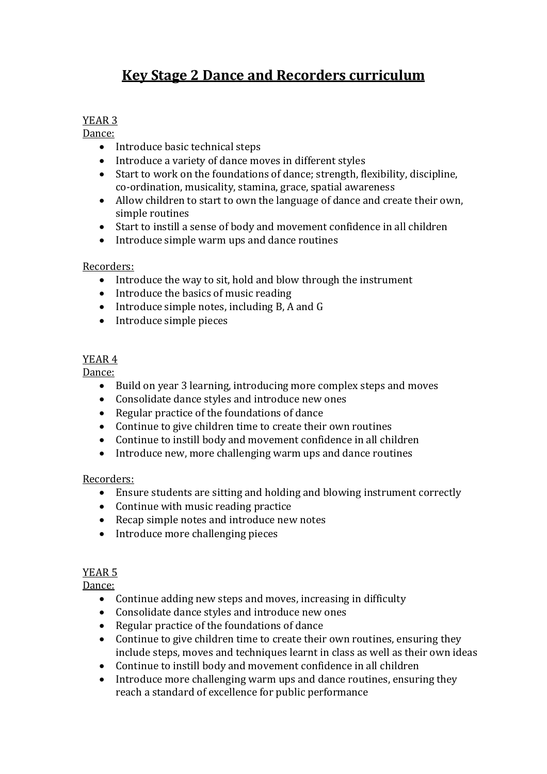# **Key Stage 2 Dance and Recorders curriculum**

### YEAR 3

Dance:

- Introduce basic technical steps
- Introduce a variety of dance moves in different styles
- Start to work on the foundations of dance; strength, flexibility, discipline, co-ordination, musicality, stamina, grace, spatial awareness
- Allow children to start to own the language of dance and create their own, simple routines
- Start to instill a sense of body and movement confidence in all children
- Introduce simple warm ups and dance routines

#### Recorders:

- Introduce the way to sit, hold and blow through the instrument
- $\bullet$  Introduce the basics of music reading
- Introduce simple notes, including  $B$ , A and G
- Introduce simple pieces

# YEAR 4

Dance:

- Build on year 3 learning, introducing more complex steps and moves
- Consolidate dance styles and introduce new ones
- Regular practice of the foundations of dance
- Continue to give children time to create their own routines
- Continue to instill body and movement confidence in all children
- Introduce new, more challenging warm ups and dance routines

#### Recorders:

- Ensure students are sitting and holding and blowing instrument correctly
- Continue with music reading practice
- Recap simple notes and introduce new notes
- $\bullet$  Introduce more challenging pieces

## YEAR<sub>5</sub>

Dance:

- Continue adding new steps and moves, increasing in difficulty
- Consolidate dance styles and introduce new ones
- Regular practice of the foundations of dance
- Continue to give children time to create their own routines, ensuring they include steps, moves and techniques learnt in class as well as their own ideas
- Continue to instill body and movement confidence in all children
- Introduce more challenging warm ups and dance routines, ensuring they reach a standard of excellence for public performance